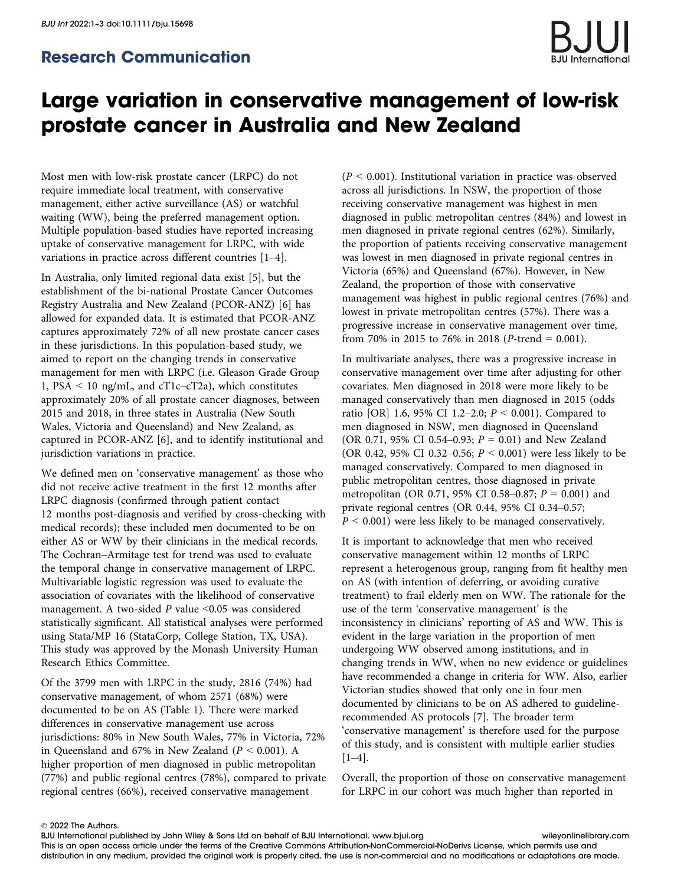## Large variation in conservative management of low-risk prostate cancer in Australia and New Zealand

Most men with low-risk prostate cancer (LRPC) do not require immediate local treatment, with conservative management, either active surveillance (AS) or watchful waiting (WW), being the preferred management option. Multiple population-based studies have reported increasing uptake of conservative management for LRPC, with wide variations in practice across different countries [1–4].

In Australia, only limited regional data exist [5], but the establishment of the bi-national Prostate Cancer Outcomes Registry Australia and New Zealand (PCOR-ANZ) [6] has allowed for expanded data. It is estimated that PCOR-ANZ captures approximately 72% of all new prostate cancer cases in these jurisdictions. In this population-based study, we aimed to report on the changing trends in conservative management for men with LRPC (i.e. Gleason Grade Group 1, PSA < 10 ng/mL, and cT1c–cT2a), which constitutes approximately 20% of all prostate cancer diagnoses, between 2015 and 2018, in three states in Australia (New South Wales, Victoria and Queensland) and New Zealand, as captured in PCOR-ANZ [6], and to identify institutional and jurisdiction variations in practice.

We defined men on 'conservative management' as those who did not receive active treatment in the first 12 months after LRPC diagnosis (confirmed through patient contact 12 months post-diagnosis and verified by cross-checking with medical records); these included men documented to be on either AS or WW by their clinicians in the medical records. The Cochran–Armitage test for trend was used to evaluate the temporal change in conservative management of LRPC. Multivariable logistic regression was used to evaluate the association of covariates with the likelihood of conservative management. A two-sided  $P$  value  $\leq 0.05$  was considered statistically significant. All statistical analyses were performed using Stata/MP 16 (StataCorp, College Station, TX, USA). This study was approved by the Monash University Human Research Ethics Committee.

Of the 3799 men with LRPC in the study, 2816 (74%) had conservative management, of whom 2571 (68%) were documented to be on AS (Table 1). There were marked differences in conservative management use across jurisdictions: 80% in New South Wales, 77% in Victoria, 72% in Queensland and 67% in New Zealand ( $P < 0.001$ ). A higher proportion of men diagnosed in public metropolitan (77%) and public regional centres (78%), compared to private regional centres (66%), received conservative management

 $(P < 0.001)$ . Institutional variation in practice was observed across all jurisdictions. In NSW, the proportion of those receiving conservative management was highest in men diagnosed in public metropolitan centres (84%) and lowest in men diagnosed in private regional centres (62%). Similarly, the proportion of patients receiving conservative management was lowest in men diagnosed in private regional centres in Victoria (65%) and Queensland (67%). However, in New Zealand, the proportion of those with conservative management was highest in public regional centres (76%) and lowest in private metropolitan centres (57%). There was a progressive increase in conservative management over time, from 70% in 2015 to 76% in 2018 (*P*-trend = 0.001).

In multivariate analyses, there was a progressive increase in conservative management over time after adjusting for other covariates. Men diagnosed in 2018 were more likely to be managed conservatively than men diagnosed in 2015 (odds ratio [OR] 1.6, 95% CI 1.2–2.0;  $P < 0.001$ ). Compared to men diagnosed in NSW, men diagnosed in Queensland (OR 0.71, 95% CI 0.54–0.93;  $P = 0.01$ ) and New Zealand (OR 0.42, 95% CI 0.32–0.56;  $P < 0.001$ ) were less likely to be managed conservatively. Compared to men diagnosed in public metropolitan centres, those diagnosed in private metropolitan (OR 0.71, 95% CI 0.58–0.87;  $P = 0.001$ ) and private regional centres (OR 0.44, 95% CI 0.34–0.57;  $P < 0.001$ ) were less likely to be managed conservatively.

It is important to acknowledge that men who received conservative management within 12 months of LRPC represent a heterogenous group, ranging from fit healthy men on AS (with intention of deferring, or avoiding curative treatment) to frail elderly men on WW. The rationale for the use of the term 'conservative management' is the inconsistency in clinicians' reporting of AS and WW. This is evident in the large variation in the proportion of men undergoing WW observed among institutions, and in changing trends in WW, when no new evidence or guidelines have recommended a change in criteria for WW. Also, earlier Victorian studies showed that only one in four men documented by clinicians to be on AS adhered to guidelinerecommended AS protocols [7]. The broader term 'conservative management' is therefore used for the purpose of this study, and is consistent with multiple earlier studies  $[1-4]$ .

Overall, the proportion of those on conservative management for LRPC in our cohort was much higher than reported in

BJU International published by John Wiley & Sons Ltd on behalf of BJU International. www.bjui.org wileyonlinelibrary.com This is an open access article under the terms of the Creative Commons Attribution-NonCommercial-NoDerivs License, which permits use and distribution in any medium, provided the original work is properly cited, the use is non-commercial and no modifications or adaptations are made.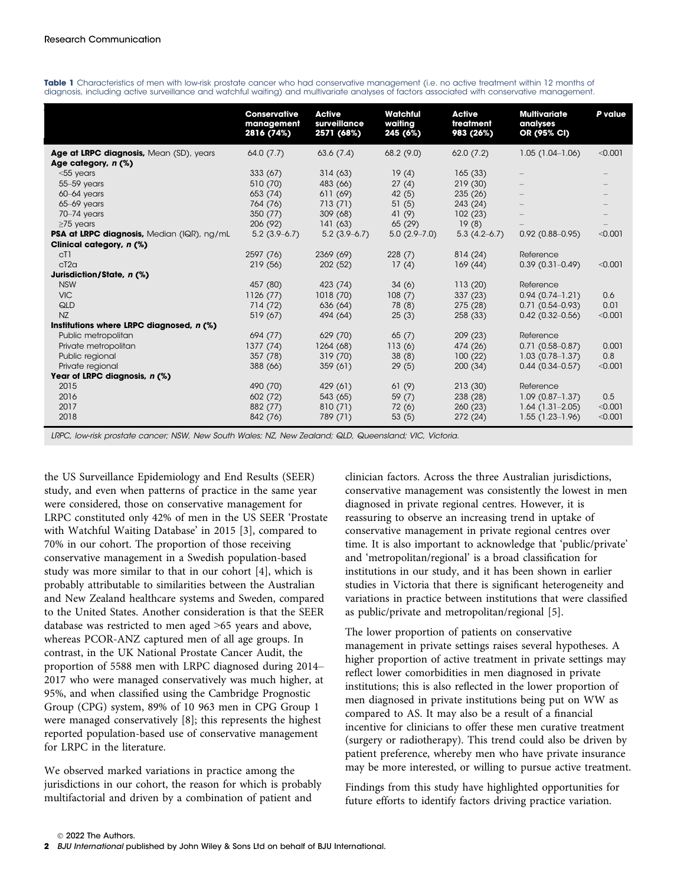|                                            | <b>Conservative</b><br>management<br>2816 (74%) | <b>Active</b><br>surveillance<br>2571 (68%) | <b>Watchful</b><br>waiting<br>245 (6%) | <b>Active</b><br>treatment<br>983 (26%) | <b>Multivariate</b><br>analyses<br>OR (95% CI) | P value |
|--------------------------------------------|-------------------------------------------------|---------------------------------------------|----------------------------------------|-----------------------------------------|------------------------------------------------|---------|
| Age at LRPC diagnosis, Mean (SD), years    | 64.0(7.7)                                       | 63.6(7.4)                                   | 68.2(9.0)                              | 62.0(7.2)                               | $1.05(1.04-1.06)$                              | < 0.001 |
| Age category, n (%)                        |                                                 |                                             |                                        |                                         |                                                |         |
| $<$ 55 years                               | 333(67)                                         | 314(63)                                     | 19(4)                                  | 165(33)                                 |                                                |         |
| 55-59 years                                | 510 (70)                                        | 483 (66)                                    | 27(4)                                  | 219(30)                                 |                                                |         |
| $60-64$ years                              | 653 (74)                                        | 611 (69)                                    | 42(5)                                  | 235(26)                                 |                                                |         |
| $65-69$ years                              | 764 (76)                                        | 713 (71)                                    | 51(5)                                  | 243 (24)                                |                                                |         |
| 70-74 years                                | 350(77)                                         | 309(68)                                     | 41 (9)                                 | 102(23)                                 |                                                |         |
| $\geq$ 75 years                            | 206 (92)                                        | 141(63)                                     | 65 (29)                                | 19(8)                                   |                                                |         |
| PSA at LRPC diagnosis, Median (IQR), ng/mL | $5.2(3.9-6.7)$                                  | $5.2(3.9-6.7)$                              | $5.0(2.9 - 7.0)$                       | $5.3(4.2-6.7)$                          | $0.92(0.88 - 0.95)$                            | < 0.001 |
| Clinical category, n (%)                   |                                                 |                                             |                                        |                                         |                                                |         |
| c <sub>T</sub> 1                           | 2597 (76)                                       | 2369 (69)                                   | 228(7)                                 | 814(24)                                 | Reference                                      |         |
| cT2a                                       | 219(56)                                         | 202 (52)                                    | 17(4)                                  | 169(44)                                 | $0.39(0.31 - 0.49)$                            | < 0.001 |
| Jurisdiction/State, n (%)                  |                                                 |                                             |                                        |                                         |                                                |         |
| <b>NSW</b>                                 | 457 (80)                                        | 423 (74)                                    | 34(6)                                  | 113(20)                                 | Reference                                      |         |
| <b>VIC</b>                                 | 1126(77)                                        | 1018(70)                                    | 108(7)                                 | 337 (23)                                | $0.94(0.74 - 1.21)$                            | 0.6     |
| QLD                                        | 714 (72)                                        | 636 (64)                                    | 78(8)                                  | 275 (28)                                | $0.71(0.54 - 0.93)$                            | 0.01    |
| <b>NZ</b>                                  | 519(67)                                         | 494 (64)                                    | 25(3)                                  | 258 (33)                                | $0.42(0.32 - 0.56)$                            | < 0.001 |
| Institutions where LRPC diagnosed, n (%)   |                                                 |                                             |                                        |                                         |                                                |         |
| Public metropolitan                        | 694 (77)                                        | 629 (70)                                    | 65(7)                                  | 209 (23)                                | Reference                                      |         |
| Private metropolitan                       | 1377 (74)                                       | 1264 (68)                                   | 113(6)                                 | 474 (26)                                | $0.71(0.58 - 0.87)$                            | 0.001   |
| Public regional                            | 357 (78)                                        | 319(70)                                     | 38(8)                                  | 100(22)                                 | $1.03(0.78 - 1.37)$                            | 0.8     |
| Private regional                           | 388 (66)                                        | 359(61)                                     | 29(5)                                  | 200(34)                                 | $0.44(0.34 - 0.57)$                            | < 0.001 |
| Year of LRPC diagnosis, n (%)              |                                                 |                                             |                                        |                                         |                                                |         |
| 2015                                       | 490 (70)                                        | 429 (61)                                    | 61(9)                                  | 213(30)                                 | Reference                                      |         |
| 2016                                       | 602 (72)                                        | 543 (65)                                    | 59(7)                                  | 238 (28)                                | $1.09(0.87-1.37)$                              | 0.5     |
| 2017                                       | 882 (77)                                        | 810(71)                                     | 72(6)                                  | 260(23)                                 | $1.64(1.31-2.05)$                              | < 0.001 |
| 2018                                       | 842 (76)                                        | 789 (71)                                    | 53(5)                                  | 272 (24)                                | $1.55(1.23-1.96)$                              | < 0.001 |

Table 1 Characteristics of men with low-risk prostate cancer who had conservative management (i.e. no active treatment within 12 months of diagnosis, including active surveillance and watchful waiting) and multivariate analyses of factors associated with conservative management.

LRPC, low-risk prostate cancer; NSW, New South Wales; NZ, New Zealand; QLD, Queensland; VIC, Victoria.

the US Surveillance Epidemiology and End Results (SEER) study, and even when patterns of practice in the same year were considered, those on conservative management for LRPC constituted only 42% of men in the US SEER 'Prostate with Watchful Waiting Database' in 2015 [3], compared to 70% in our cohort. The proportion of those receiving conservative management in a Swedish population-based study was more similar to that in our cohort [4], which is probably attributable to similarities between the Australian and New Zealand healthcare systems and Sweden, compared to the United States. Another consideration is that the SEER database was restricted to men aged >65 years and above, whereas PCOR-ANZ captured men of all age groups. In contrast, in the UK National Prostate Cancer Audit, the proportion of 5588 men with LRPC diagnosed during 2014– 2017 who were managed conservatively was much higher, at 95%, and when classified using the Cambridge Prognostic Group (CPG) system, 89% of 10 963 men in CPG Group 1 were managed conservatively [8]; this represents the highest reported population-based use of conservative management for LRPC in the literature.

We observed marked variations in practice among the jurisdictions in our cohort, the reason for which is probably multifactorial and driven by a combination of patient and

clinician factors. Across the three Australian jurisdictions, conservative management was consistently the lowest in men diagnosed in private regional centres. However, it is reassuring to observe an increasing trend in uptake of conservative management in private regional centres over time. It is also important to acknowledge that 'public/private' and 'metropolitan/regional' is a broad classification for institutions in our study, and it has been shown in earlier studies in Victoria that there is significant heterogeneity and variations in practice between institutions that were classified as public/private and metropolitan/regional [5].

The lower proportion of patients on conservative management in private settings raises several hypotheses. A higher proportion of active treatment in private settings may reflect lower comorbidities in men diagnosed in private institutions; this is also reflected in the lower proportion of men diagnosed in private institutions being put on WW as compared to AS. It may also be a result of a financial incentive for clinicians to offer these men curative treatment (surgery or radiotherapy). This trend could also be driven by patient preference, whereby men who have private insurance may be more interested, or willing to pursue active treatment.

Findings from this study have highlighted opportunities for future efforts to identify factors driving practice variation.